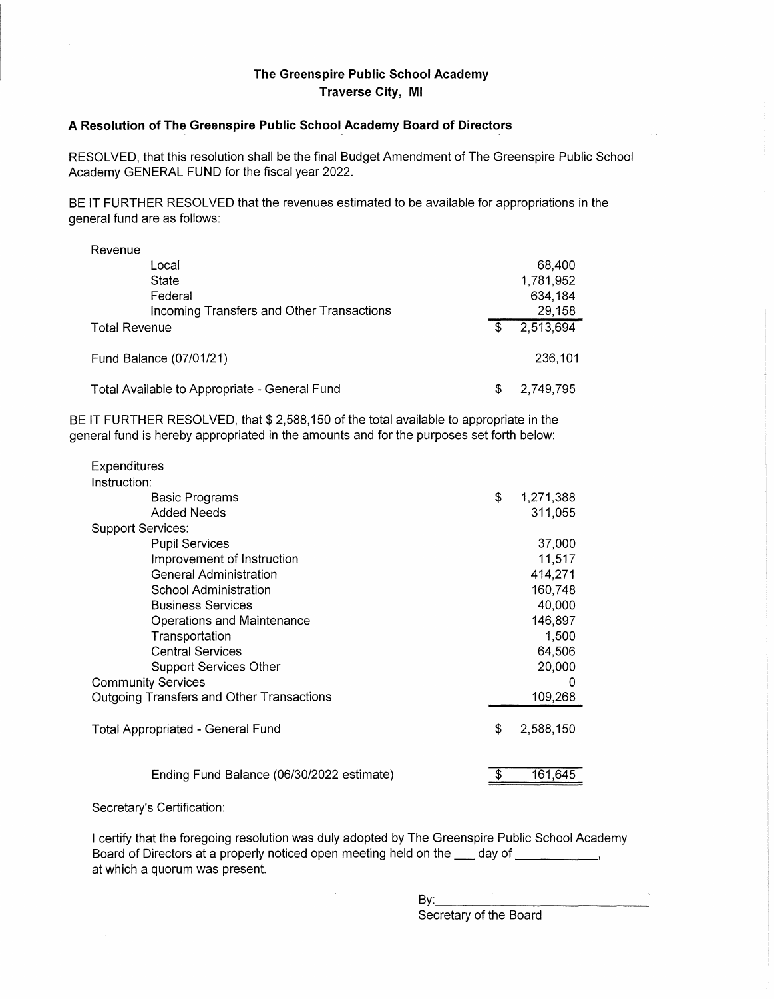## **The Greenspire Public School Academy Traverse City, Ml**

## **A Resolution of The Greenspire Public School Academy Board of Directors**

RESOLVED, that this resolution shall be the final Budget Amendment of The Greenspire Public School Academy GENERAL FUND for the fiscal year 2022.

BE IT FURTHER RESOLVED that the revenues estimated to be available for appropriations in the general fund are as follows:

| Revenue                                       |    |           |
|-----------------------------------------------|----|-----------|
| Local                                         |    | 68,400    |
| State                                         |    | 1,781,952 |
| Federal                                       |    | 634,184   |
| Incoming Transfers and Other Transactions     |    | 29,158    |
| <b>Total Revenue</b>                          | \$ | 2,513,694 |
| Fund Balance (07/01/21)                       |    | 236,101   |
| Total Available to Appropriate - General Fund | S  | 2,749,795 |

BE IT FURTHER RESOLVED, that \$ 2,588,150 of the total available to appropriate in the general fund is hereby appropriated in the amounts and for the purposes set forth below:

| <b>Expenditures</b>                       |                 |
|-------------------------------------------|-----------------|
| Instruction:                              |                 |
| Basic Programs                            | \$<br>1,271,388 |
| <b>Added Needs</b>                        | 311,055         |
| <b>Support Services:</b>                  |                 |
| <b>Pupil Services</b>                     | 37,000          |
| Improvement of Instruction                | 11,517          |
| <b>General Administration</b>             | 414,271         |
| <b>School Administration</b>              | 160,748         |
| <b>Business Services</b>                  | 40,000          |
| Operations and Maintenance                | 146,897         |
| Transportation                            | 1,500           |
| <b>Central Services</b>                   | 64,506          |
| Support Services Other                    | 20,000          |
| <b>Community Services</b>                 | 0               |
| Outgoing Transfers and Other Transactions | 109,268         |
| Total Appropriated - General Fund         | \$<br>2,588,150 |
| Ending Fund Balance (06/30/2022 estimate) | 161,645         |

## Secretary's Certification:

 $\bar{A}$ 

I certify that the foregoing resolution was duly adopted by The Greenspire Public School Academy Board of Directors at a properly noticed open meeting held on the  $\Box$  day of  $\Box$ at which a quorum was present.

> By: \_\_\_\_\_\_\_\_\_\_\_ \_ Secretary of the Board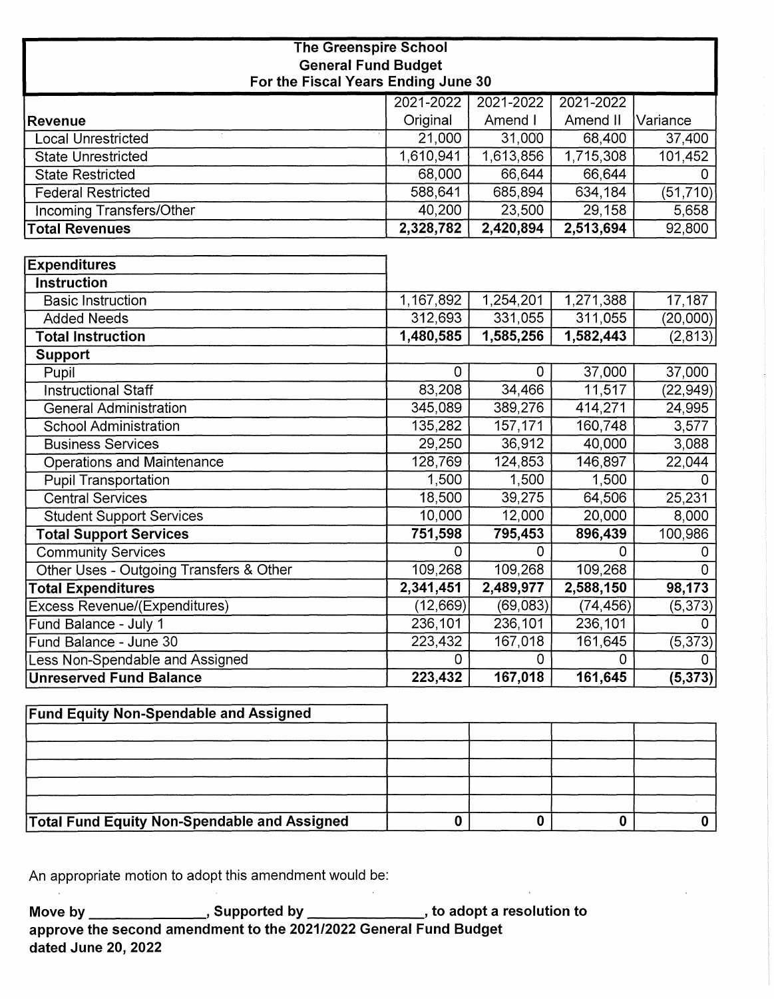| <b>The Greenspire School</b>            |           |                |           |                       |  |
|-----------------------------------------|-----------|----------------|-----------|-----------------------|--|
| <b>General Fund Budget</b>              |           |                |           |                       |  |
| For the Fiscal Years Ending June 30     |           |                |           |                       |  |
|                                         | 2021-2022 | 2021-2022      | 2021-2022 |                       |  |
| <b>Revenue</b>                          | Original  | Amend I        | Amend II  | Variance              |  |
| <b>Local Unrestricted</b>               | 21,000    | 31,000         | 68,400    | 37,400                |  |
| State Unrestricted                      | 1,610,941 | 1,613,856      | 1,715,308 | 101,452               |  |
| <b>State Restricted</b>                 | 68,000    | 66,644         | 66,644    | 0                     |  |
| <b>Federal Restricted</b>               | 588,641   | 685,894        | 634,184   | $\overline{(51,710)}$ |  |
| <b>Incoming Transfers/Other</b>         | 40,200    | 23,500         | 29,158    | 5,658                 |  |
| <b>Total Revenues</b>                   | 2,328,782 | 2,420,894      | 2,513,694 | 92,800                |  |
|                                         |           |                |           |                       |  |
| <b>Expenditures</b>                     |           |                |           |                       |  |
| <b>Instruction</b>                      |           |                |           |                       |  |
| <b>Basic Instruction</b>                | 1,167,892 | 1,254,201      | 1,271,388 | 17,187                |  |
| <b>Added Needs</b>                      | 312,693   | 331,055        | 311,055   | (20,000)              |  |
| <b>Total Instruction</b>                | 1,480,585 | 1,585,256      | 1,582,443 | (2, 813)              |  |
| Support                                 |           |                |           |                       |  |
| Pupil                                   | $\Omega$  | $\mathbf 0$    | 37,000    | 37,000                |  |
| <b>Instructional Staff</b>              | 83,208    | 34,466         | 11,517    | (22, 949)             |  |
| <b>General Administration</b>           | 345,089   | 389,276        | 414,271   | 24,995                |  |
| <b>School Administration</b>            | 135,282   | 157,171        | 160,748   | 3,577                 |  |
| <b>Business Services</b>                | 29,250    | 36,912         | 40,000    | 3,088                 |  |
| <b>Operations and Maintenance</b>       | 128,769   | 124,853        | 146,897   | 22,044                |  |
| <b>Pupil Transportation</b>             | 1,500     | 1,500          | 1,500     | $\Omega$              |  |
| <b>Central Services</b>                 | 18,500    | 39,275         | 64,506    | 25,231                |  |
| <b>Student Support Services</b>         | 10,000    | 12,000         | 20,000    | 8,000                 |  |
| <b>Total Support Services</b>           | 751,598   | 795,453        | 896,439   | 100,986               |  |
| <b>Community Services</b>               | $\Omega$  | 0              | 0         | 0                     |  |
| Other Uses - Outgoing Transfers & Other | 109,268   | 109,268        | 109,268   | $\overline{0}$        |  |
| <b>Total Expenditures</b>               | 2,341,451 | 2,489,977      | 2,588,150 | 98,173                |  |
| <b>Excess Revenue/(Expenditures)</b>    | (12, 669) | (69,083)       | (74, 456) | (5, 373)              |  |
| Fund Balance - July 1                   | 236,101   | 236,101        | 236,101   | O.                    |  |
| Fund Balance - June 30                  | 223,432   | 167,018        | 161,645   | (5, 373)              |  |
| <b>Less Non-Spendable and Assigned</b>  | 0         | $\overline{0}$ | 0         | 0                     |  |
| <b>Unreserved Fund Balance</b>          | 223,432   | 167,018        | 161,645   | (5, 373)              |  |

| <b>Fund Equity Non-Spendable and Assigned</b>       |  |  |
|-----------------------------------------------------|--|--|
|                                                     |  |  |
|                                                     |  |  |
|                                                     |  |  |
|                                                     |  |  |
|                                                     |  |  |
| <b>Total Fund Equity Non-Spendable and Assigned</b> |  |  |

 $\sim 80$ 

An appropriate motion to adopt this amendment would be:

**Move by , Supported by , to adopt a resolution to approve the second amendment to the 2021/2022 General Fund Budget dated June 20, 2022**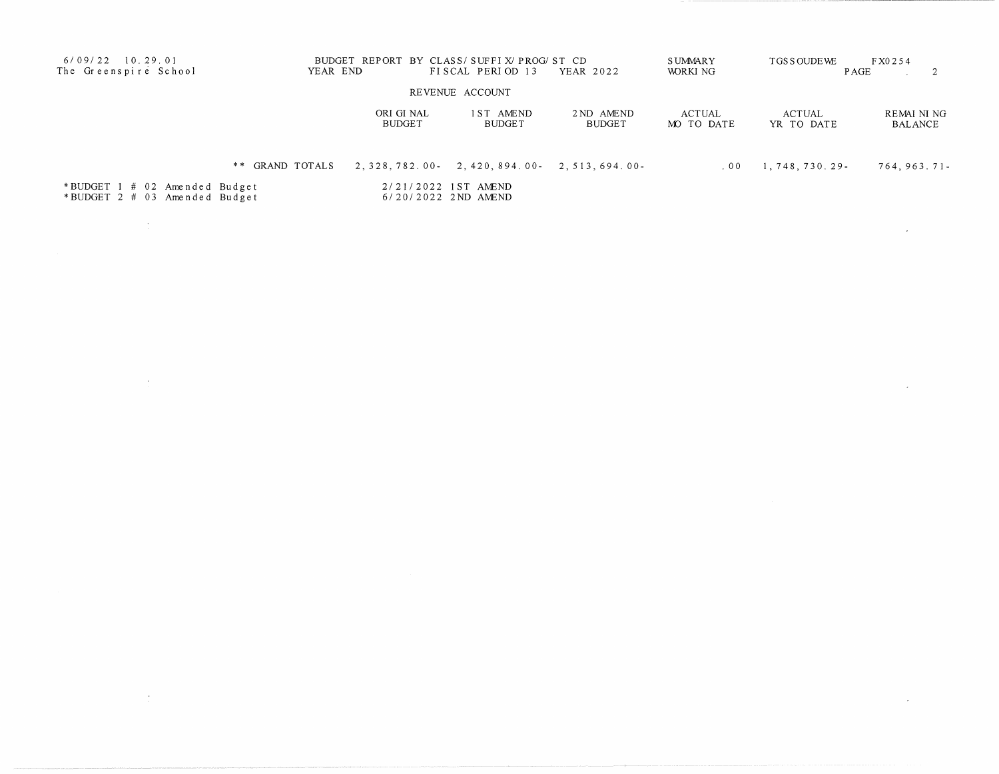| $6/09/22$ 10.29.01<br>The Greenspire School                    | YEAR END        |                             | BUDGET REPORT BY CLASS/SUFFIX/PROG/ST CD<br>FISCAL PERIOD 13 | YEAR 2022            | <b>SUMMARY</b><br>WORKI NG | TGS SOUDE WE                | FX0254<br><b>PAGE</b> |
|----------------------------------------------------------------|-----------------|-----------------------------|--------------------------------------------------------------|----------------------|----------------------------|-----------------------------|-----------------------|
|                                                                |                 |                             | REVENUE ACCOUNT                                              |                      |                            |                             |                       |
|                                                                |                 | ORI GI NAL<br><b>BUDGET</b> | 1ST AMEND<br><b>BUDGET</b>                                   | 2 ND AMEND<br>BUDGET | ACTUAL<br>MO TO DATE       | <b>ACTUAL</b><br>YR TO DATE | REMAINING<br>BALANCE  |
|                                                                | ** GRAND TOTALS |                             | $2, 328, 782, 00 - 2, 420, 894, 00 - 2, 513, 694, 00 -$      |                      | 00 <sub>0</sub>            | 1,748,730.29-               | $764, 963.71$ -       |
| *BUDGET 1 # 02 Amended Budget<br>*BUDGET 2 # 03 Amended Budget |                 |                             | 2/21/2022 1ST AMEND<br>6/20/2022 2ND AMEND                   |                      |                            |                             |                       |

 $\mathcal{L}^{\text{max}}_{\text{max}}$  and  $\mathcal{L}^{\text{max}}_{\text{max}}$ 

 $\label{eq:2.1} \mathcal{L}(\mathcal{L}^{\mathcal{L}}_{\mathcal{L}}(\mathcal{L}^{\mathcal{L}}_{\mathcal{L}})) = \mathcal{L}(\mathcal{L}^{\mathcal{L}}_{\mathcal{L}}(\mathcal{L}^{\mathcal{L}}_{\mathcal{L}})) = \mathcal{L}(\mathcal{L}^{\mathcal{L}}_{\mathcal{L}}(\mathcal{L}^{\mathcal{L}}_{\mathcal{L}}))$ 

 $\mathcal{L}^{\text{max}}_{\text{max}}$ 

 $\label{eq:2.1} \frac{1}{\sqrt{2}}\int_{\mathbb{R}^3}\frac{1}{\sqrt{2}}\left(\frac{1}{\sqrt{2}}\right)^2\frac{1}{\sqrt{2}}\left(\frac{1}{\sqrt{2}}\right)^2\frac{1}{\sqrt{2}}\left(\frac{1}{\sqrt{2}}\right)^2\frac{1}{\sqrt{2}}\left(\frac{1}{\sqrt{2}}\right)^2.$ 

 $\label{eq:2.1} \frac{1}{2} \left( \frac{1}{2} \sum_{i=1}^n \frac{1}{2} \sum_{j=1}^n \frac{1}{2} \sum_{j=1}^n \frac{1}{2} \sum_{j=1}^n \frac{1}{2} \sum_{j=1}^n \frac{1}{2} \sum_{j=1}^n \frac{1}{2} \sum_{j=1}^n \frac{1}{2} \sum_{j=1}^n \frac{1}{2} \sum_{j=1}^n \frac{1}{2} \sum_{j=1}^n \frac{1}{2} \sum_{j=1}^n \frac{1}{2} \sum_{j=1}^n \frac{1}{2} \sum$ 

 $\label{eq:2.1} \frac{1}{2} \sum_{i=1}^n \frac{1}{2} \sum_{j=1}^n \frac{1}{2} \sum_{j=1}^n \frac{1}{2} \sum_{j=1}^n \frac{1}{2} \sum_{j=1}^n \frac{1}{2} \sum_{j=1}^n \frac{1}{2} \sum_{j=1}^n \frac{1}{2} \sum_{j=1}^n \frac{1}{2} \sum_{j=1}^n \frac{1}{2} \sum_{j=1}^n \frac{1}{2} \sum_{j=1}^n \frac{1}{2} \sum_{j=1}^n \frac{1}{2} \sum_{j=1}^n \frac{$